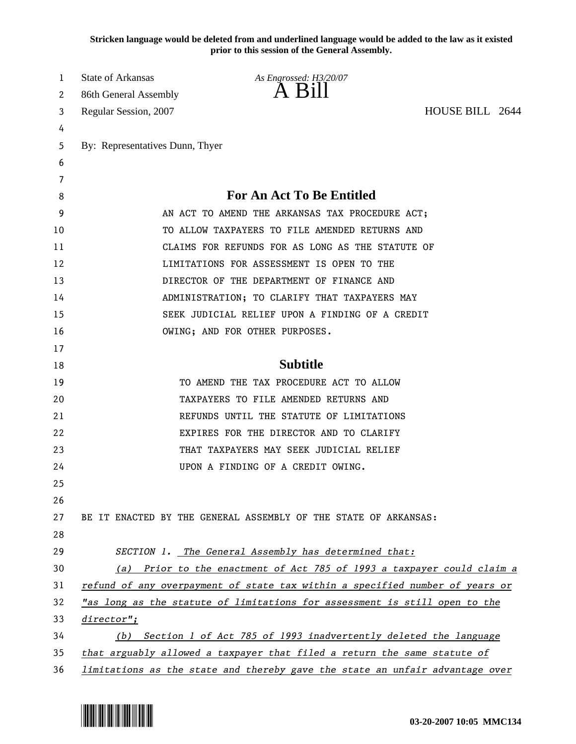**Stricken language would be deleted from and underlined language would be added to the law as it existed prior to this session of the General Assembly.**

| 1  | State of Arkansas               | As Engrossed: H3/20/07                                                       |  |
|----|---------------------------------|------------------------------------------------------------------------------|--|
| 2  | 86th General Assembly           | $A$ $B1II$                                                                   |  |
| 3  | Regular Session, 2007           | HOUSE BILL 2644                                                              |  |
| 4  |                                 |                                                                              |  |
| 5  | By: Representatives Dunn, Thyer |                                                                              |  |
| 6  |                                 |                                                                              |  |
| 7  |                                 |                                                                              |  |
| 8  |                                 | <b>For An Act To Be Entitled</b>                                             |  |
| 9  |                                 | AN ACT TO AMEND THE ARKANSAS TAX PROCEDURE ACT;                              |  |
| 10 |                                 | TO ALLOW TAXPAYERS TO FILE AMENDED RETURNS AND                               |  |
| 11 |                                 | CLAIMS FOR REFUNDS FOR AS LONG AS THE STATUTE OF                             |  |
| 12 |                                 | LIMITATIONS FOR ASSESSMENT IS OPEN TO THE                                    |  |
| 13 |                                 | DIRECTOR OF THE DEPARTMENT OF FINANCE AND                                    |  |
| 14 |                                 | ADMINISTRATION; TO CLARIFY THAT TAXPAYERS MAY                                |  |
| 15 |                                 | SEEK JUDICIAL RELIEF UPON A FINDING OF A CREDIT                              |  |
| 16 |                                 | OWING; AND FOR OTHER PURPOSES.                                               |  |
| 17 |                                 |                                                                              |  |
| 18 |                                 | <b>Subtitle</b>                                                              |  |
| 19 |                                 | TO AMEND THE TAX PROCEDURE ACT TO ALLOW                                      |  |
| 20 |                                 | TAXPAYERS TO FILE AMENDED RETURNS AND                                        |  |
| 21 |                                 | REFUNDS UNTIL THE STATUTE OF LIMITATIONS                                     |  |
| 22 |                                 | EXPIRES FOR THE DIRECTOR AND TO CLARIFY                                      |  |
| 23 |                                 | THAT TAXPAYERS MAY SEEK JUDICIAL RELIEF                                      |  |
| 24 |                                 | UPON A FINDING OF A CREDIT OWING.                                            |  |
| 25 |                                 |                                                                              |  |
| 26 |                                 |                                                                              |  |
| 27 |                                 | BE IT ENACTED BY THE GENERAL ASSEMBLY OF THE STATE OF ARKANSAS:              |  |
| 28 |                                 |                                                                              |  |
| 29 |                                 | SECTION 1. The General Assembly has determined that:                         |  |
| 30 |                                 | (a) Prior to the enactment of Act 785 of 1993 a taxpayer could claim a       |  |
| 31 |                                 | refund of any overpayment of state tax within a specified number of years or |  |
| 32 |                                 | "as long as the statute of limitations for assessment is still open to the   |  |
| 33 | $directory$ ";                  |                                                                              |  |
| 34 | (b)                             | Section 1 of Act 785 of 1993 inadvertently deleted the language              |  |
| 35 |                                 | that arguably allowed a taxpayer that filed a return the same statute of     |  |
| 36 |                                 | limitations as the state and thereby gave the state an unfair advantage over |  |

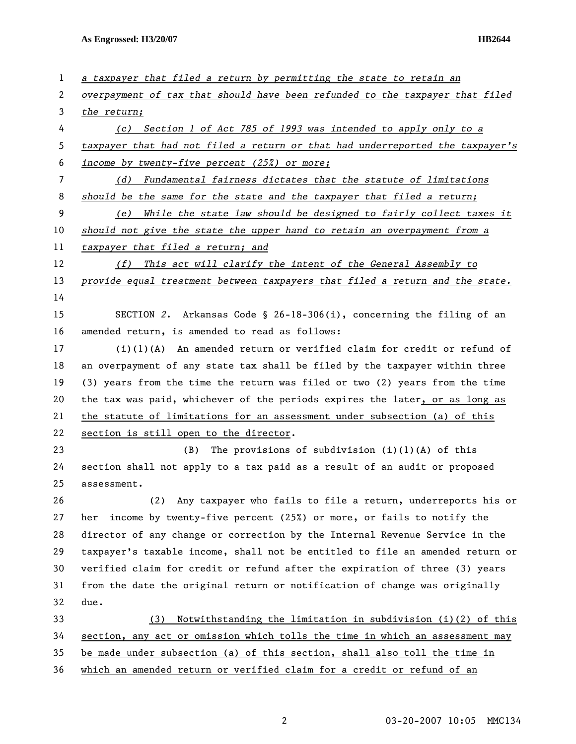**As Engrossed: H3/20/07 HB2644** 

| $\mathbf{1}$ | a taxpayer that filed a return by permitting the state to retain an           |  |  |
|--------------|-------------------------------------------------------------------------------|--|--|
| 2            | overpayment of tax that should have been refunded to the taxpayer that filed  |  |  |
| 3            | the return;                                                                   |  |  |
| 4            | (c) Section 1 of Act 785 of 1993 was intended to apply only to a              |  |  |
| 5            | taxpayer that had not filed a return or that had underreported the taxpayer's |  |  |
| 6            | income by twenty-five percent $(25%)$ or more;                                |  |  |
| 7            | Fundamental fairness dictates that the statute of limitations<br>(d)          |  |  |
| 8            | should be the same for the state and the taxpayer that filed a return;        |  |  |
| 9            | While the state law should be designed to fairly collect taxes it<br>(e)      |  |  |
| 10           | should not give the state the upper hand to retain an overpayment from a      |  |  |
| 11           | taxpayer that filed a return; and                                             |  |  |
| 12           | This act will clarify the intent of the General Assembly to<br>(f)            |  |  |
| 13           | provide equal treatment between taxpayers that filed a return and the state.  |  |  |
| 14           |                                                                               |  |  |
| 15           | SECTION 2. Arkansas Code § 26-18-306(i), concerning the filing of an          |  |  |
| 16           | amended return, is amended to read as follows:                                |  |  |
| 17           | $(i)(1)(A)$ An amended return or verified claim for credit or refund of       |  |  |
| 18           | an overpayment of any state tax shall be filed by the taxpayer within three   |  |  |
| 19           | (3) years from the time the return was filed or two (2) years from the time   |  |  |
| 20           | the tax was paid, whichever of the periods expires the later, or as long as   |  |  |
| 21           | the statute of limitations for an assessment under subsection (a) of this     |  |  |
| 22           | section is still open to the director.                                        |  |  |
| 23           | The provisions of subdivision $(i)(l)(A)$ of this<br>(B)                      |  |  |
| 24           | section shall not apply to a tax paid as a result of an audit or proposed     |  |  |
| 25           | assessment.                                                                   |  |  |
| 26           | Any taxpayer who fails to file a return, underreports his or<br>(2)           |  |  |
| 27           | income by twenty-five percent (25%) or more, or fails to notify the<br>her    |  |  |
| 28           | director of any change or correction by the Internal Revenue Service in the   |  |  |
| 29           | taxpayer's taxable income, shall not be entitled to file an amended return or |  |  |
| 30           | verified claim for credit or refund after the expiration of three (3) years   |  |  |
| 31           | from the date the original return or notification of change was originally    |  |  |
| 32           | due.                                                                          |  |  |
| 33           | Notwithstanding the limitation in subdivision (i)(2) of this<br>(3)           |  |  |
| 34           | section, any act or omission which tolls the time in which an assessment may  |  |  |
| 35           | be made under subsection (a) of this section, shall also toll the time in     |  |  |
| 36           | which an amended return or verified claim for a credit or refund of an        |  |  |

2 03-20-2007 10:05 MMC134